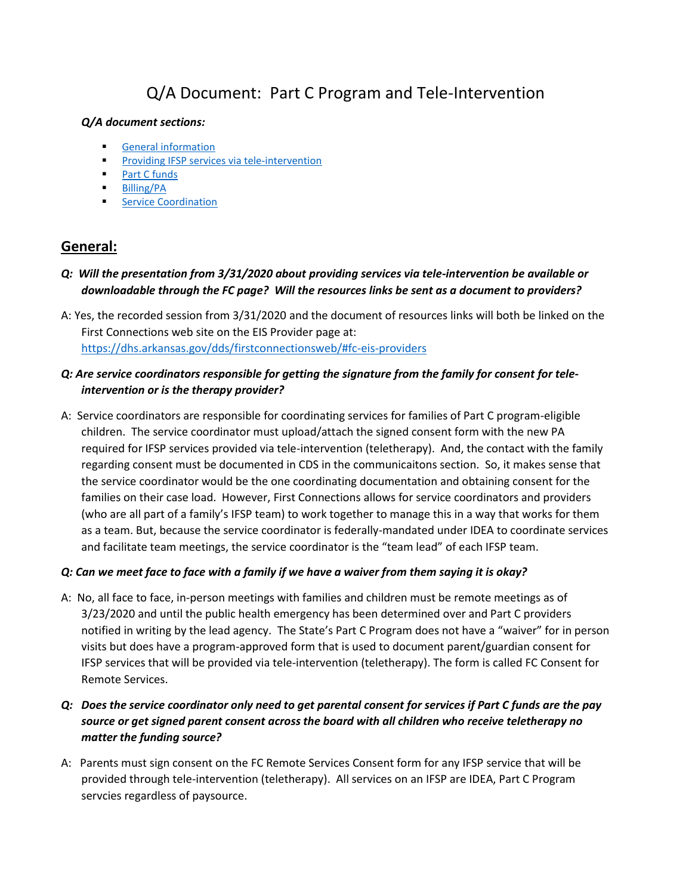# Q/A Document: Part C Program and Tele-Intervention

#### <span id="page-0-1"></span>*Q/A document sections:*

- [General information](#page-0-0)
- **[Providing IFSP services via tele-intervention](#page-1-0)**
- [Part C funds](#page-3-0)
- [Billing/PA](#page-3-1)
- **[Service Coordination](#page-4-0)**

# <span id="page-0-0"></span>**General:**

- *Q: Will the presentation from 3/31/2020 about providing services via tele-intervention be available or downloadable through the FC page? Will the resources links be sent as a document to providers?*
- A: Yes, the recorded session from 3/31/2020 and the document of resources links will both be linked on the First Connections web site on the EIS Provider page at: <https://dhs.arkansas.gov/dds/firstconnectionsweb/#fc-eis-providers>

### *Q: Are service coordinators responsible for getting the signature from the family for consent for teleintervention or is the therapy provider?*

A: Service coordinators are responsible for coordinating services for families of Part C program-eligible children. The service coordinator must upload/attach the signed consent form with the new PA required for IFSP services provided via tele-intervention (teletherapy). And, the contact with the family regarding consent must be documented in CDS in the communicaitons section. So, it makes sense that the service coordinator would be the one coordinating documentation and obtaining consent for the families on their case load. However, First Connections allows for service coordinators and providers (who are all part of a family's IFSP team) to work together to manage this in a way that works for them as a team. But, because the service coordinator is federally-mandated under IDEA to coordinate services and facilitate team meetings, the service coordinator is the "team lead" of each IFSP team.

### *Q: Can we meet face to face with a family if we have a waiver from them saying it is okay?*

A: No, all face to face, in-person meetings with families and children must be remote meetings as of 3/23/2020 and until the public health emergency has been determined over and Part C providers notified in writing by the lead agency. The State's Part C Program does not have a "waiver" for in person visits but does have a program-approved form that is used to document parent/guardian consent for IFSP services that will be provided via tele-intervention (teletherapy). The form is called FC Consent for Remote Services.

# *Q: Does the service coordinator only need to get parental consent for services if Part C funds are the pay source or get signed parent consent across the board with all children who receive teletherapy no matter the funding source?*

A: Parents must sign consent on the FC Remote Services Consent form for any IFSP service that will be provided through tele-intervention (teletherapy). All services on an IFSP are IDEA, Part C Program servcies regardless of paysource.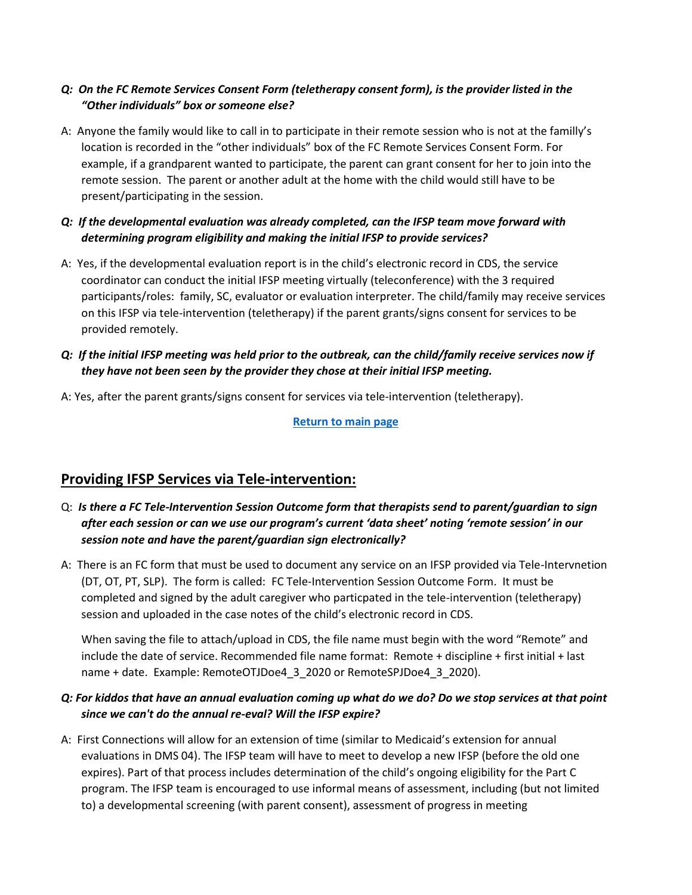# *Q: On the FC Remote Services Consent Form (teletherapy consent form), is the provider listed in the "Other individuals" box or someone else?*

A: Anyone the family would like to call in to participate in their remote session who is not at the familly's location is recorded in the "other individuals" box of the FC Remote Services Consent Form. For example, if a grandparent wanted to participate, the parent can grant consent for her to join into the remote session. The parent or another adult at the home with the child would still have to be present/participating in the session.

### *Q: If the developmental evaluation was already completed, can the IFSP team move forward with determining program eligibility and making the initial IFSP to provide services?*

A: Yes, if the developmental evaluation report is in the child's electronic record in CDS, the service coordinator can conduct the initial IFSP meeting virtually (teleconference) with the 3 required participants/roles: family, SC, evaluator or evaluation interpreter. The child/family may receive services on this IFSP via tele-intervention (teletherapy) if the parent grants/signs consent for services to be provided remotely.

# *Q: If the initial IFSP meeting was held prior to the outbreak, can the child/family receive services now if they have not been seen by the provider they chose at their initial IFSP meeting.*

A: Yes, after the parent grants/signs consent for services via tele-intervention (teletherapy).

**[Return to main page](#page-0-1)**

# <span id="page-1-0"></span>**Providing IFSP Services via Tele-intervention:**

- Q: *Is there a FC Tele-Intervention Session Outcome form that therapists send to parent/guardian to sign after each session or can we use our program's current 'data sheet' noting 'remote session' in our session note and have the parent/guardian sign electronically?*
- A: There is an FC form that must be used to document any service on an IFSP provided via Tele-Intervnetion (DT, OT, PT, SLP). The form is called: FC Tele-Intervention Session Outcome Form. It must be completed and signed by the adult caregiver who particpated in the tele-intervention (teletherapy) session and uploaded in the case notes of the child's electronic record in CDS.

When saving the file to attach/upload in CDS, the file name must begin with the word "Remote" and include the date of service. Recommended file name format: Remote + discipline + first initial + last name + date. Example: RemoteOTJDoe4\_3\_2020 or RemoteSPJDoe4\_3\_2020).

# *Q: For kiddos that have an annual evaluation coming up what do we do? Do we stop services at that point since we can't do the annual re-eval? Will the IFSP expire?*

A: First Connections will allow for an extension of time (similar to Medicaid's extension for annual evaluations in DMS 04). The IFSP team will have to meet to develop a new IFSP (before the old one expires). Part of that process includes determination of the child's ongoing eligibility for the Part C program. The IFSP team is encouraged to use informal means of assessment, including (but not limited to) a developmental screening (with parent consent), assessment of progress in meeting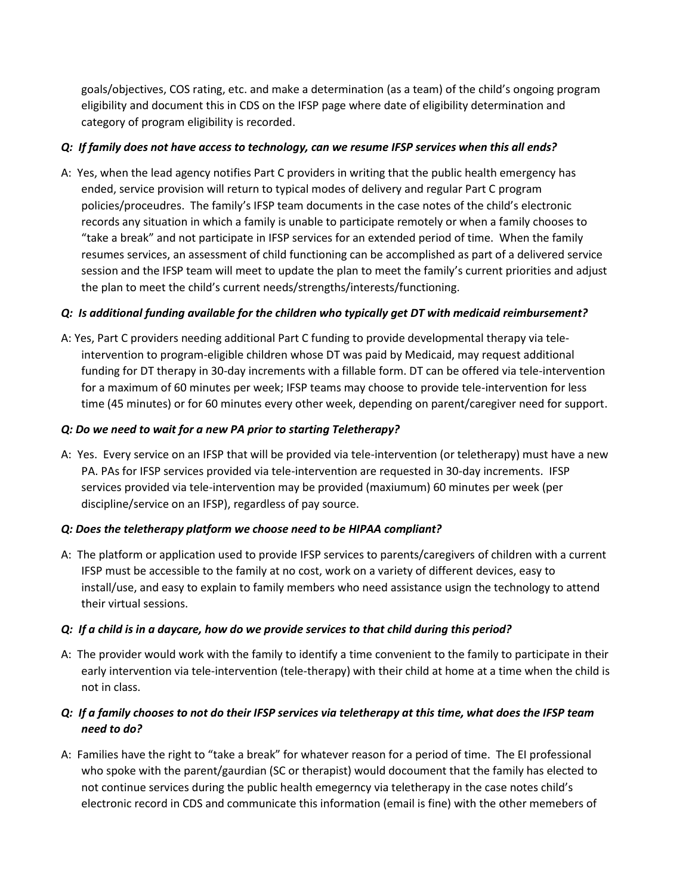goals/objectives, COS rating, etc. and make a determination (as a team) of the child's ongoing program eligibility and document this in CDS on the IFSP page where date of eligibility determination and category of program eligibility is recorded.

### *Q: If family does not have access to technology, can we resume IFSP services when this all ends?*

A: Yes, when the lead agency notifies Part C providers in writing that the public health emergency has ended, service provision will return to typical modes of delivery and regular Part C program policies/proceudres. The family's IFSP team documents in the case notes of the child's electronic records any situation in which a family is unable to participate remotely or when a family chooses to "take a break" and not participate in IFSP services for an extended period of time. When the family resumes services, an assessment of child functioning can be accomplished as part of a delivered service session and the IFSP team will meet to update the plan to meet the family's current priorities and adjust the plan to meet the child's current needs/strengths/interests/functioning.

#### *Q: Is additional funding available for the children who typically get DT with medicaid reimbursement?*

A: Yes, Part C providers needing additional Part C funding to provide developmental therapy via teleintervention to program-eligible children whose DT was paid by Medicaid, may request additional funding for DT therapy in 30-day increments with a fillable form. DT can be offered via tele-intervention for a maximum of 60 minutes per week; IFSP teams may choose to provide tele-intervention for less time (45 minutes) or for 60 minutes every other week, depending on parent/caregiver need for support.

#### *Q: Do we need to wait for a new PA prior to starting Teletherapy?*

A: Yes. Every service on an IFSP that will be provided via tele-intervention (or teletherapy) must have a new PA. PAs for IFSP services provided via tele-intervention are requested in 30-day increments. IFSP services provided via tele-intervention may be provided (maxiumum) 60 minutes per week (per discipline/service on an IFSP), regardless of pay source.

#### *Q: Does the teletherapy platform we choose need to be HIPAA compliant?*

A: The platform or application used to provide IFSP services to parents/caregivers of children with a current IFSP must be accessible to the family at no cost, work on a variety of different devices, easy to install/use, and easy to explain to family members who need assistance usign the technology to attend their virtual sessions.

#### *Q: If a child is in a daycare, how do we provide services to that child during this period?*

A: The provider would work with the family to identify a time convenient to the family to participate in their early intervention via tele-intervention (tele-therapy) with their child at home at a time when the child is not in class.

# *Q: If a family chooses to not do their IFSP services via teletherapy at this time, what does the IFSP team need to do?*

A: Families have the right to "take a break" for whatever reason for a period of time. The EI professional who spoke with the parent/gaurdian (SC or therapist) would docoument that the family has elected to not continue services during the public health emegerncy via teletherapy in the case notes child's electronic record in CDS and communicate this information (email is fine) with the other memebers of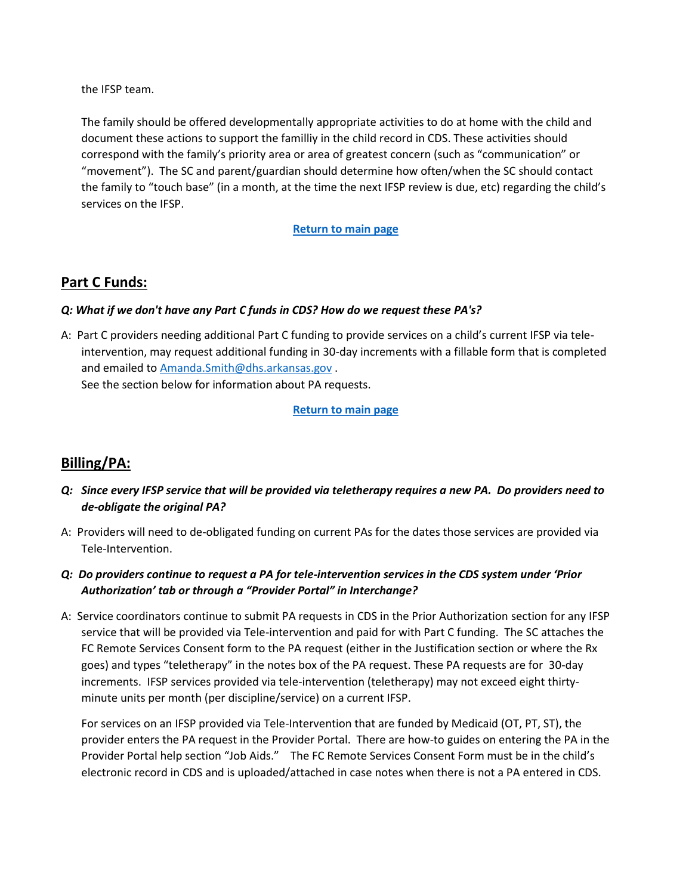the IFSP team.

The family should be offered developmentally appropriate activities to do at home with the child and document these actions to support the familliy in the child record in CDS. These activities should correspond with the family's priority area or area of greatest concern (such as "communication" or "movement"). The SC and parent/guardian should determine how often/when the SC should contact the family to "touch base" (in a month, at the time the next IFSP review is due, etc) regarding the child's services on the IFSP.

#### **[Return to main page](#page-0-1)**

# <span id="page-3-0"></span>**Part C Funds:**

#### *Q: What if we don't have any Part C funds in CDS? How do we request these PA's?*

A: Part C providers needing additional Part C funding to provide services on a child's current IFSP via teleintervention, may request additional funding in 30-day increments with a fillable form that is completed and emailed t[o Amanda.Smith@dhs.arkansas.gov](mailto:Amanda.Smith@dhs.arkansas.gov) .

See the section below for information about PA requests.

**[Return to main page](#page-0-1)**

# <span id="page-3-1"></span>**Billing/PA:**

- *Q: Since every IFSP service that will be provided via teletherapy requires a new PA. Do providers need to de-obligate the original PA?*
- A: Providers will need to de-obligated funding on current PAs for the dates those services are provided via Tele-Intervention.
- *Q: Do providers continue to request a PA for tele-intervention services in the CDS system under 'Prior Authorization' tab or through a "Provider Portal" in Interchange?*
- A: Service coordinators continue to submit PA requests in CDS in the Prior Authorization section for any IFSP service that will be provided via Tele-intervention and paid for with Part C funding. The SC attaches the FC Remote Services Consent form to the PA request (either in the Justification section or where the Rx goes) and types "teletherapy" in the notes box of the PA request. These PA requests are for 30-day increments. IFSP services provided via tele-intervention (teletherapy) may not exceed eight thirtyminute units per month (per discipline/service) on a current IFSP.

For services on an IFSP provided via Tele-Intervention that are funded by Medicaid (OT, PT, ST), the provider enters the PA request in the Provider Portal. There are how-to guides on entering the PA in the Provider Portal help section "Job Aids." The FC Remote Services Consent Form must be in the child's electronic record in CDS and is uploaded/attached in case notes when there is not a PA entered in CDS.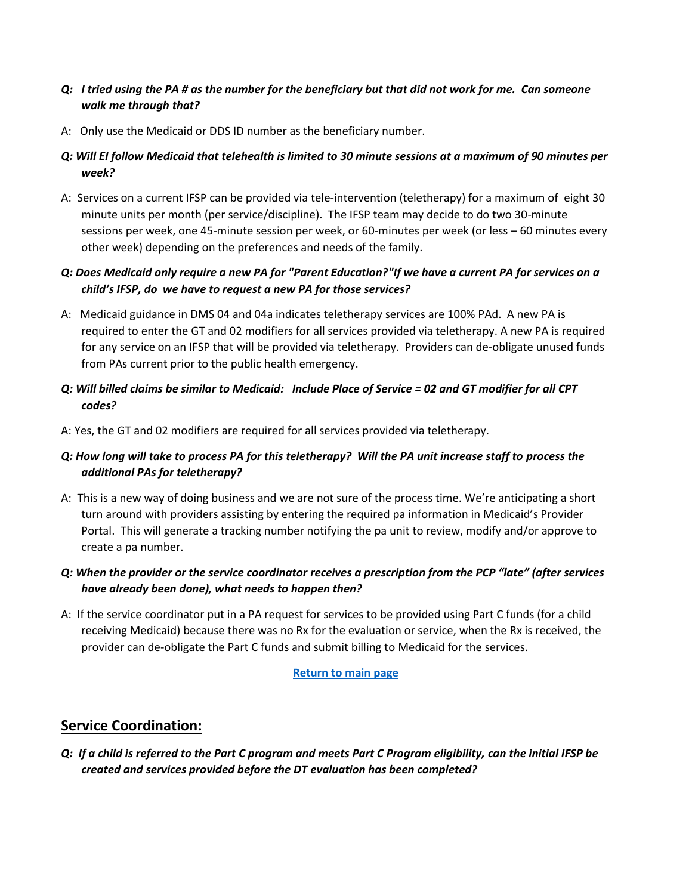- *Q: I tried using the PA # as the number for the beneficiary but that did not work for me. Can someone walk me through that?*
- A: Only use the Medicaid or DDS ID number as the beneficiary number.
- *Q: Will EI follow Medicaid that telehealth is limited to 30 minute sessions at a maximum of 90 minutes per week?*
- A: Services on a current IFSP can be provided via tele-intervention (teletherapy) for a maximum of eight 30 minute units per month (per service/discipline). The IFSP team may decide to do two 30-minute sessions per week, one 45-minute session per week, or 60-minutes per week (or less – 60 minutes every other week) depending on the preferences and needs of the family.

# *Q: Does Medicaid only require a new PA for "Parent Education?"If we have a current PA for services on a child's IFSP, do we have to request a new PA for those services?*

- A: Medicaid guidance in DMS 04 and 04a indicates teletherapy services are 100% PAd. A new PA is required to enter the GT and 02 modifiers for all services provided via teletherapy. A new PA is required for any service on an IFSP that will be provided via teletherapy. Providers can de-obligate unused funds from PAs current prior to the public health emergency.
- *Q: Will billed claims be similar to Medicaid: Include Place of Service = 02 and GT modifier for all CPT codes?*
- A: Yes, the GT and 02 modifiers are required for all services provided via teletherapy.

# *Q: How long will take to process PA for this teletherapy? Will the PA unit increase staff to process the additional PAs for teletherapy?*

A: This is a new way of doing business and we are not sure of the process time. We're anticipating a short turn around with providers assisting by entering the required pa information in Medicaid's Provider Portal. This will generate a tracking number notifying the pa unit to review, modify and/or approve to create a pa number.

# *Q: When the provider or the service coordinator receives a prescription from the PCP "late" (after services have already been done), what needs to happen then?*

A: If the service coordinator put in a PA request for services to be provided using Part C funds (for a child receiving Medicaid) because there was no Rx for the evaluation or service, when the Rx is received, the provider can de-obligate the Part C funds and submit billing to Medicaid for the services.

#### **[Return to main page](#page-0-1)**

# <span id="page-4-0"></span>**Service Coordination:**

*Q: If a child is referred to the Part C program and meets Part C Program eligibility, can the initial IFSP be created and services provided before the DT evaluation has been completed?*